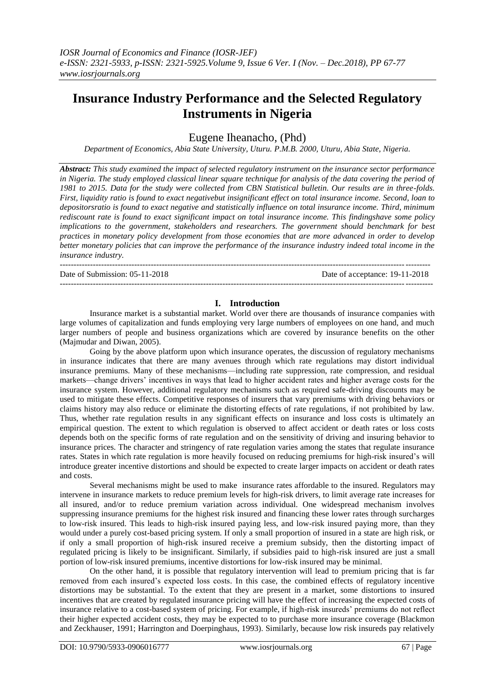# **Insurance Industry Performance and the Selected Regulatory Instruments in Nigeria**

Eugene Iheanacho, (Phd)

*Department of Economics, Abia State University, Uturu. P.M.B. 2000, Uturu, Abia State, Nigeria.*

*Abstract: This study examined the impact of selected regulatory instrument on the insurance sector performance*  in Nigeria. The study employed classical linear square technique for analysis of the data covering the period of *1981 to 2015. Data for the study were collected from CBN Statistical bulletin. Our results are in three-folds. First, liquidity ratio is found to exact negativebut insignificant effect on total insurance income. Second, loan to depositorsratio is found to exact negative and statistically influence on total insurance income. Third, minimum rediscount rate is found to exact significant impact on total insurance income. This findingshave some policy implications to the government, stakeholders and researchers. The government should benchmark for best practices in monetary policy development from those economies that are more advanced in order to develop better monetary policies that can improve the performance of the insurance industry indeed total income in the insurance industry.*

-------------------------------------------------------------------------------------------------------------------------------------- Date of Submission: 05-11-2018 Date of acceptance: 19-11-2018 ---------------------------------------------------------------------------------------------------------------------------------------

# **I. Introduction**

Insurance market is a substantial market. World over there are thousands of insurance companies with large volumes of capitalization and funds employing very large numbers of employees on one hand, and much larger numbers of people and business organizations which are covered by insurance benefits on the other (Majmudar and Diwan, 2005).

Going by the above platform upon which insurance operates, the discussion of regulatory mechanisms in insurance indicates that there are many avenues through which rate regulations may distort individual insurance premiums. Many of these mechanisms—including rate suppression, rate compression, and residual markets—change drivers' incentives in ways that lead to higher accident rates and higher average costs for the insurance system. However, additional regulatory mechanisms such as required safe-driving discounts may be used to mitigate these effects. Competitive responses of insurers that vary premiums with driving behaviors or claims history may also reduce or eliminate the distorting effects of rate regulations, if not prohibited by law. Thus, whether rate regulation results in any significant effects on insurance and loss costs is ultimately an empirical question. The extent to which regulation is observed to affect accident or death rates or loss costs depends both on the specific forms of rate regulation and on the sensitivity of driving and insuring behavior to insurance prices. The character and stringency of rate regulation varies among the states that regulate insurance rates. States in which rate regulation is more heavily focused on reducing premiums for high-risk insured's will introduce greater incentive distortions and should be expected to create larger impacts on accident or death rates and costs.

Several mechanisms might be used to make insurance rates affordable to the insured. Regulators may intervene in insurance markets to reduce premium levels for high-risk drivers, to limit average rate increases for all insured, and/or to reduce premium variation across individual. One widespread mechanism involves suppressing insurance premiums for the highest risk insured and financing these lower rates through surcharges to low-risk insured. This leads to high-risk insured paying less, and low-risk insured paying more, than they would under a purely cost-based pricing system. If only a small proportion of insured in a state are high risk, or if only a small proportion of high-risk insured receive a premium subsidy, then the distorting impact of regulated pricing is likely to be insignificant. Similarly, if subsidies paid to high-risk insured are just a small portion of low-risk insured premiums, incentive distortions for low-risk insured may be minimal.

On the other hand, it is possible that regulatory intervention will lead to premium pricing that is far removed from each insured's expected loss costs. In this case, the combined effects of regulatory incentive distortions may be substantial. To the extent that they are present in a market, some distortions to insured incentives that are created by regulated insurance pricing will have the effect of increasing the expected costs of insurance relative to a cost-based system of pricing. For example, if high-risk insureds' premiums do not reflect their higher expected accident costs, they may be expected to to purchase more insurance coverage (Blackmon and Zeckhauser, 1991; Harrington and Doerpinghaus, 1993). Similarly, because low risk insureds pay relatively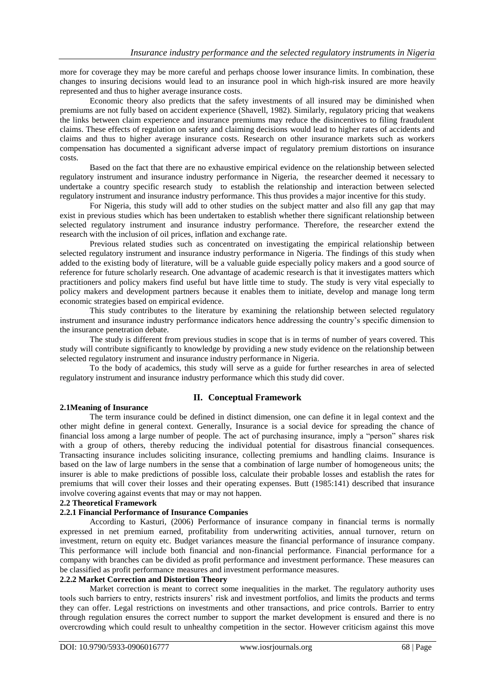more for coverage they may be more careful and perhaps choose lower insurance limits. In combination, these changes to insuring decisions would lead to an insurance pool in which high-risk insured are more heavily represented and thus to higher average insurance costs.

Economic theory also predicts that the safety investments of all insured may be diminished when premiums are not fully based on accident experience (Shavell, 1982). Similarly, regulatory pricing that weakens the links between claim experience and insurance premiums may reduce the disincentives to filing fraudulent claims. These effects of regulation on safety and claiming decisions would lead to higher rates of accidents and claims and thus to higher average insurance costs. Research on other insurance markets such as workers compensation has documented a significant adverse impact of regulatory premium distortions on insurance costs.

Based on the fact that there are no exhaustive empirical evidence on the relationship between selected regulatory instrument and insurance industry performance in Nigeria, the researcher deemed it necessary to undertake a country specific research study to establish the relationship and interaction between selected regulatory instrument and insurance industry performance. This thus provides a major incentive for this study.

For Nigeria, this study will add to other studies on the subject matter and also fill any gap that may exist in previous studies which has been undertaken to establish whether there significant relationship between selected regulatory instrument and insurance industry performance. Therefore, the researcher extend the research with the inclusion of oil prices, inflation and exchange rate.

Previous related studies such as concentrated on investigating the empirical relationship between selected regulatory instrument and insurance industry performance in Nigeria. The findings of this study when added to the existing body of literature, will be a valuable guide especially policy makers and a good source of reference for future scholarly research. One advantage of academic research is that it investigates matters which practitioners and policy makers find useful but have little time to study. The study is very vital especially to policy makers and development partners because it enables them to initiate, develop and manage long term economic strategies based on empirical evidence.

This study contributes to the literature by examining the relationship between selected regulatory instrument and insurance industry performance indicators hence addressing the country's specific dimension to the insurance penetration debate.

The study is different from previous studies in scope that is in terms of number of years covered. This study will contribute significantly to knowledge by providing a new study evidence on the relationship between selected regulatory instrument and insurance industry performance in Nigeria.

To the body of academics, this study will serve as a guide for further researches in area of selected regulatory instrument and insurance industry performance which this study did cover.

# **2.1Meaning of Insurance**

# **II. Conceptual Framework**

The term insurance could be defined in distinct dimension, one can define it in legal context and the other might define in general context. Generally, Insurance is a social device for spreading the chance of financial loss among a large number of people. The act of purchasing insurance, imply a "person" shares risk with a group of others, thereby reducing the individual potential for disastrous financial consequences. Transacting insurance includes soliciting insurance, collecting premiums and handling claims. Insurance is based on the law of large numbers in the sense that a combination of large number of homogeneous units; the insurer is able to make predictions of possible loss, calculate their probable losses and establish the rates for premiums that will cover their losses and their operating expenses. Butt (1985:141) described that insurance involve covering against events that may or may not happen.

#### **2.2 Theoretical Framework**

# **2.2.1 Financial Performance of Insurance Companies**

According to Kasturi, (2006) Performance of insurance company in financial terms is normally expressed in net premium earned, profitability from underwriting activities, annual turnover, return on investment, return on equity etc. Budget variances measure the financial performance of insurance company. This performance will include both financial and non-financial performance. Financial performance for a company with branches can be divided as profit performance and investment performance. These measures can be classified as profit performance measures and investment performance measures.

#### **2.2.2 Market Correction and Distortion Theory**

Market correction is meant to correct some inequalities in the market. The regulatory authority uses tools such barriers to entry, restricts insurers' risk and investment portfolios, and limits the products and terms they can offer. Legal restrictions on investments and other transactions, and price controls. Barrier to entry through regulation ensures the correct number to support the market development is ensured and there is no overcrowding which could result to unhealthy competition in the sector. However criticism against this move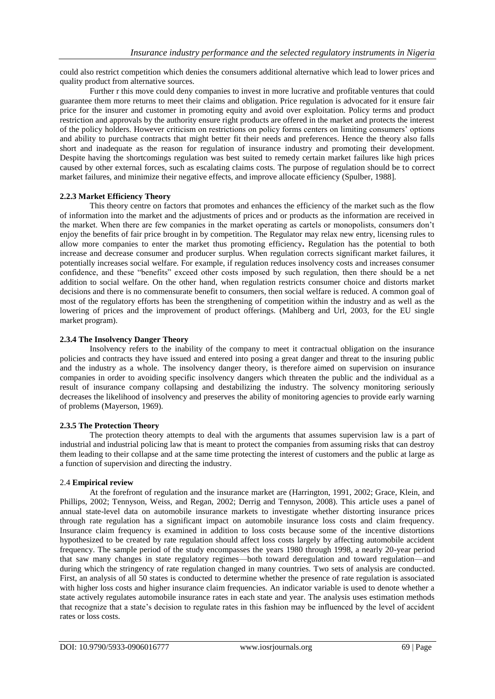could also restrict competition which denies the consumers additional alternative which lead to lower prices and quality product from alternative sources.

Further r this move could deny companies to invest in more lucrative and profitable ventures that could guarantee them more returns to meet their claims and obligation. Price regulation is advocated for it ensure fair price for the insurer and customer in promoting equity and avoid over exploitation. Policy terms and product restriction and approvals by the authority ensure right products are offered in the market and protects the interest of the policy holders. However criticism on restrictions on policy forms centers on limiting consumers' options and ability to purchase contracts that might better fit their needs and preferences. Hence the theory also falls short and inadequate as the reason for regulation of insurance industry and promoting their development. Despite having the shortcomings regulation was best suited to remedy certain market failures like high prices caused by other external forces, such as escalating claims costs. The purpose of regulation should be to correct market failures, and minimize their negative effects, and improve allocate efficiency (Spulber, 1988].

# **2.2.3 Market Efficiency Theory**

This theory centre on factors that promotes and enhances the efficiency of the market such as the flow of information into the market and the adjustments of prices and or products as the information are received in the market. When there are few companies in the market operating as cartels or monopolists, consumers don't enjoy the benefits of fair price brought in by competition. The Regulator may relax new entry, licensing rules to allow more companies to enter the market thus promoting efficiency**.** Regulation has the potential to both increase and decrease consumer and producer surplus. When regulation corrects significant market failures, it potentially increases social welfare. For example, if regulation reduces insolvency costs and increases consumer confidence, and these "benefits" exceed other costs imposed by such regulation, then there should be a net addition to social welfare. On the other hand, when regulation restricts consumer choice and distorts market decisions and there is no commensurate benefit to consumers, then social welfare is reduced. A common goal of most of the regulatory efforts has been the strengthening of competition within the industry and as well as the lowering of prices and the improvement of product offerings. (Mahlberg and Url, 2003, for the EU single market program).

## **2.3.4 The Insolvency Danger Theory**

Insolvency refers to the inability of the company to meet it contractual obligation on the insurance policies and contracts they have issued and entered into posing a great danger and threat to the insuring public and the industry as a whole. The insolvency danger theory, is therefore aimed on supervision on insurance companies in order to avoiding specific insolvency dangers which threaten the public and the individual as a result of insurance company collapsing and destabilizing the industry. The solvency monitoring seriously decreases the likelihood of insolvency and preserves the ability of monitoring agencies to provide early warning of problems (Mayerson, 1969).

#### **2.3.5 The Protection Theory**

The protection theory attempts to deal with the arguments that assumes supervision law is a part of industrial and industrial policing law that is meant to protect the companies from assuming risks that can destroy them leading to their collapse and at the same time protecting the interest of customers and the public at large as a function of supervision and directing the industry.

# 2.4 **Empirical review**

At the forefront of regulation and the insurance market are (Harrington, 1991, 2002; Grace, Klein, and Phillips, 2002; Tennyson, Weiss, and Regan, 2002; Derrig and Tennyson, 2008). This article uses a panel of annual state-level data on automobile insurance markets to investigate whether distorting insurance prices through rate regulation has a significant impact on automobile insurance loss costs and claim frequency. Insurance claim frequency is examined in addition to loss costs because some of the incentive distortions hypothesized to be created by rate regulation should affect loss costs largely by affecting automobile accident frequency. The sample period of the study encompasses the years 1980 through 1998, a nearly 20-year period that saw many changes in state regulatory regimes—both toward deregulation and toward regulation—and during which the stringency of rate regulation changed in many countries. Two sets of analysis are conducted. First, an analysis of all 50 states is conducted to determine whether the presence of rate regulation is associated with higher loss costs and higher insurance claim frequencies. An indicator variable is used to denote whether a state actively regulates automobile insurance rates in each state and year. The analysis uses estimation methods that recognize that a state's decision to regulate rates in this fashion may be influenced by the level of accident rates or loss costs.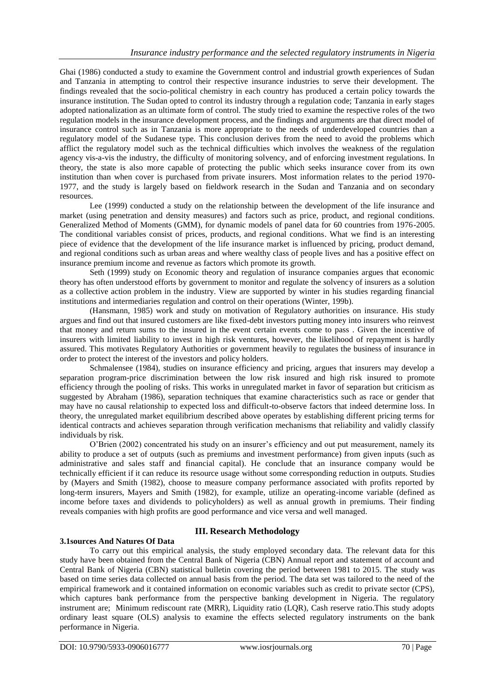Ghai (1986) conducted a study to examine the Government control and industrial growth experiences of Sudan and Tanzania in attempting to control their respective insurance industries to serve their development. The findings revealed that the socio-political chemistry in each country has produced a certain policy towards the insurance institution. The Sudan opted to control its industry through a regulation code; Tanzania in early stages adopted nationalization as an ultimate form of control. The study tried to examine the respective roles of the two regulation models in the insurance development process, and the findings and arguments are that direct model of insurance control such as in Tanzania is more appropriate to the needs of underdeveloped countries than a regulatory model of the Sudanese type. This conclusion derives from the need to avoid the problems which afflict the regulatory model such as the technical difficulties which involves the weakness of the regulation agency vis-a-vis the industry, the difficulty of monitoring solvency, and of enforcing investment regulations. In theory, the state is also more capable of protecting the public which seeks insurance cover from its own institution than when cover is purchased from private insurers. Most information relates to the period 1970- 1977, and the study is largely based on fieldwork research in the Sudan and Tanzania and on secondary resources.

Lee (1999) conducted a study on the relationship between the development of the life insurance and market (using penetration and density measures) and factors such as price, product, and regional conditions. Generalized Method of Moments (GMM), for dynamic models of panel data for 60 countries from 1976-2005. The conditional variables consist of prices, products, and regional conditions. What we find is an interesting piece of evidence that the development of the life insurance market is influenced by pricing, product demand, and regional conditions such as urban areas and where wealthy class of people lives and has a positive effect on insurance premium income and revenue as factors which promote its growth.

Seth (1999) study on Economic theory and regulation of insurance companies argues that economic theory has often understood efforts by government to monitor and regulate the solvency of insurers as a solution as a collective action problem in the industry. View are supported by winter in his studies regarding financial institutions and intermediaries regulation and control on their operations (Winter, 199b).

(Hansmann, 1985) work and study on motivation of Regulatory authorities on insurance. His study argues and find out that insured customers are like fixed-debt investors putting money into insurers who reinvest that money and return sums to the insured in the event certain events come to pass . Given the incentive of insurers with limited liability to invest in high risk ventures, however, the likelihood of repayment is hardly assured. This motivates Regulatory Authorities or government heavily to regulates the business of insurance in order to protect the interest of the investors and policy holders.

Schmalensee (1984), studies on insurance efficiency and pricing, argues that insurers may develop a separation program-price discrimination between the low risk insured and high risk insured to promote efficiency through the pooling of risks. This works in unregulated market in favor of separation but criticism as suggested by Abraham (1986), separation techniques that examine characteristics such as race or gender that may have no causal relationship to expected loss and difficult-to-observe factors that indeed determine loss. In theory, the unregulated market equilibrium described above operates by establishing different pricing terms for identical contracts and achieves separation through verification mechanisms that reliability and validly classify individuals by risk.

O'Brien (2002) concentrated his study on an insurer's efficiency and out put measurement, namely its ability to produce a set of outputs (such as premiums and investment performance) from given inputs (such as administrative and sales staff and financial capital). He conclude that an insurance company would be technically efficient if it can reduce its resource usage without some corresponding reduction in outputs. Studies by (Mayers and Smith (1982), choose to measure company performance associated with profits reported by long-term insurers, Mayers and Smith (1982), for example, utilize an operating-income variable (defined as income before taxes and dividends to policyholders) as well as annual growth in premiums. Their finding reveals companies with high profits are good performance and vice versa and well managed.

# **3.1sources And Natures Of Data**

# **III. Research Methodology**

To carry out this empirical analysis, the study employed secondary data. The relevant data for this study have been obtained from the Central Bank of Nigeria (CBN) Annual report and statement of account and Central Bank of Nigeria (CBN) statistical bulletin covering the period between 1981 to 2015. The study was based on time series data collected on annual basis from the period. The data set was tailored to the need of the empirical framework and it contained information on economic variables such as credit to private sector (CPS), which captures bank performance from the perspective banking development in Nigeria. The regulatory instrument are; Minimum rediscount rate (MRR), Liquidity ratio (LQR), Cash reserve ratio.This study adopts ordinary least square (OLS) analysis to examine the effects selected regulatory instruments on the bank performance in Nigeria.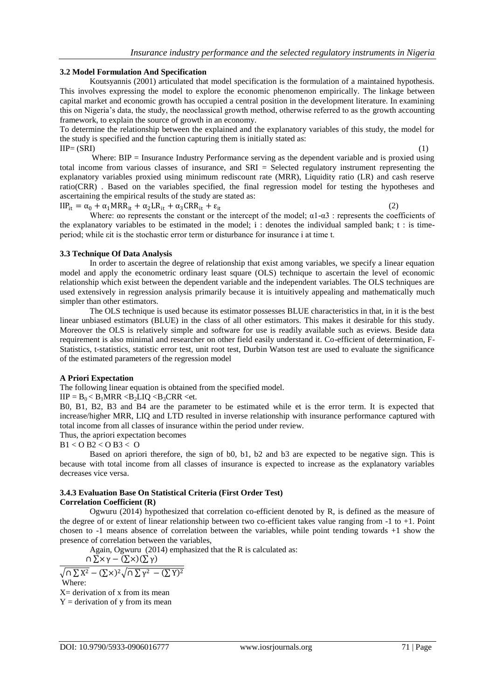#### **3.2 Model Formulation And Specification**

Koutsyannis (2001) articulated that model specification is the formulation of a maintained hypothesis. This involves expressing the model to explore the economic phenomenon empirically. The linkage between capital market and economic growth has occupied a central position in the development literature. In examining this on Nigeria's data, the study, the neoclassical growth method, otherwise referred to as the growth accounting framework, to explain the source of growth in an economy.

To determine the relationship between the explained and the explanatory variables of this study, the model for the study is specified and the function capturing them is initially stated as:  $IIP=(SRI)$  (1)

Where: BIP = Insurance Industry Performance serving as the dependent variable and is proxied using total income from various classes of insurance, and SRI = Selected regulatory instrument representing the explanatory variables proxied using minimum rediscount rate (MRR), Liquidity ratio (LR) and cash reserve ratio(CRR) . Based on the variables specified, the final regression model for testing the hypotheses and ascertaining the empirical results of the study are stated as:

 $IIP<sub>it</sub> = \alpha_0 + \alpha_1 MRR<sub>it</sub> + \alpha_2 LR<sub>it</sub> + \alpha_3 CRR<sub>it</sub> + \varepsilon_{it}$  (2)

Where:  $\alpha$  represents the constant or the intercept of the model;  $\alpha$ 1- $\alpha$ 3 : represents the coefficients of the explanatory variables to be estimated in the model; i : denotes the individual sampled bank; t : is timeperiod; while εit is the stochastic error term or disturbance for insurance i at time t.

#### **3.3 Technique Of Data Analysis**

In order to ascertain the degree of relationship that exist among variables, we specify a linear equation model and apply the econometric ordinary least square (OLS) technique to ascertain the level of economic relationship which exist between the dependent variable and the independent variables. The OLS techniques are used extensively in regression analysis primarily because it is intuitively appealing and mathematically much simpler than other estimators.

The OLS technique is used because its estimator possesses BLUE characteristics in that, in it is the best linear unbiased estimators (BLUE) in the class of all other estimators. This makes it desirable for this study. Moreover the OLS is relatively simple and software for use is readily available such as eviews. Beside data requirement is also minimal and researcher on other field easily understand it. Co-efficient of determination, F-Statistics, t-statistics, statistic error test, unit root test, Durbin Watson test are used to evaluate the significance of the estimated parameters of the regression model

#### **A Priori Expectation**

The following linear equation is obtained from the specified model.

#### $IIP = B_0 < B_1MRR < B_2LIQ < B_3CRR <$ et.

B0, B1, B2, B3 and B4 are the parameter to be estimated while et is the error term. It is expected that increase/higher MRR, LIQ and LTD resulted in inverse relationship with insurance performance captured with total income from all classes of insurance within the period under review.

Thus, the apriori expectation becomes

#### B1 < O B2 < O B3 < O

Based on apriori therefore, the sign of b0, b1, b2 and b3 are expected to be negative sign. This is because with total income from all classes of insurance is expected to increase as the explanatory variables decreases vice versa.

#### **3.4.3 Evaluation Base On Statistical Criteria (First Order Test) Correlation Coefficient (R)**

Ogwuru (2014) hypothesized that correlation co-efficient denoted by R, is defined as the measure of the degree of or extent of linear relationship between two co-efficient takes value ranging from -1 to +1. Point chosen to -1 means absence of correlation between the variables, while point tending towards +1 show the presence of correlation between the variables,

Again, Ogwuru (2014) emphasized that the R is calculated as:

$$
\Omega \Sigma \times \gamma - (\Sigma \times)(\Sigma \gamma)
$$

 $\sqrt{\cap \sum X^2 - (\sum \times)^2} \sqrt{\cap \sum Y^2} = (\sum Y)^2$ Where:

X= derivation of x from its mean

 $Y =$  derivation of y from its mean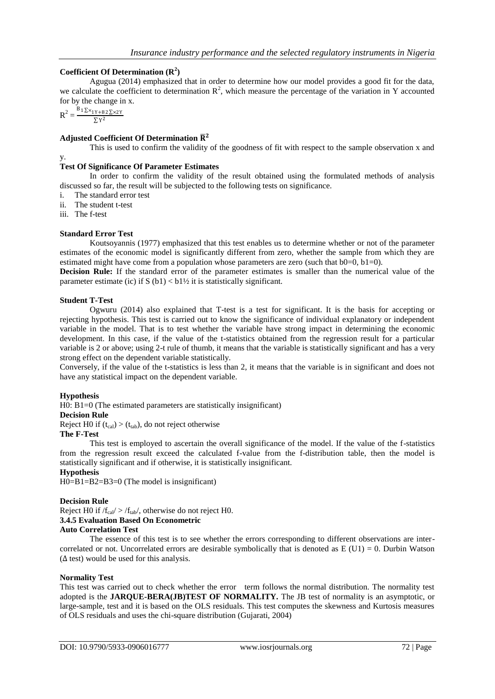# **Coefficient Of Determination (R<sup>2</sup> )**

Agugua (2014) emphasized that in order to determine how our model provides a good fit for the data, we calculate the coefficient to determination  $\mathbb{R}^2$ , which measure the percentage of the variation in Y accounted for by the change in x.

 $R^2 = \frac{B_1 \sum x_{1Y+B2} \sum x_{2Y}}{E_1 x_2^2}$  $\Sigma$  Y<sup>2</sup>

# **Adjusted Coefficient Of Determination**

This is used to confirm the validity of the goodness of fit with respect to the sample observation x and

#### y.

# **Test Of Significance Of Parameter Estimates**

In order to confirm the validity of the result obtained using the formulated methods of analysis discussed so far, the result will be subjected to the following tests on significance.

- i. The standard error test
- ii. The student t-test
- iii. The f-test

## **Standard Error Test**

Koutsoyannis (1977) emphasized that this test enables us to determine whether or not of the parameter estimates of the economic model is significantly different from zero, whether the sample from which they are estimated might have come from a population whose parameters are zero (such that  $b0=0$ ,  $b1=0$ ).

**Decision Rule:** If the standard error of the parameter estimates is smaller than the numerical value of the parameter estimate (ic) if S  $(b1) < b1\frac{1}{2}$  it is statistically significant.

#### **Student T-Test**

Ogwuru (2014) also explained that T-test is a test for significant. It is the basis for accepting or rejecting hypothesis. This test is carried out to know the significance of individual explanatory or independent variable in the model. That is to test whether the variable have strong impact in determining the economic development. In this case, if the value of the t-statistics obtained from the regression result for a particular variable is 2 or above; using 2-t rule of thumb, it means that the variable is statistically significant and has a very strong effect on the dependent variable statistically.

Conversely, if the value of the t-statistics is less than 2, it means that the variable is in significant and does not have any statistical impact on the dependent variable.

#### **Hypothesis**

H0: B1=0 (The estimated parameters are statistically insignificant)

#### **Decision Rule**

Reject H0 if  $(t_{cal}) > (t_{tab})$ , do not reject otherwise

#### **The F-Test**

This test is employed to ascertain the overall significance of the model. If the value of the f-statistics from the regression result exceed the calculated f-value from the f-distribution table, then the model is statistically significant and if otherwise, it is statistically insignificant.

# **Hypothesis**

H0=B1=B2=B3=0 (The model is insignificant)

#### **Decision Rule**

Reject H0 if  $/f_{cal}$  >  $/f_{tab}$ , otherwise do not reject H0.

#### **3.4.5 Evaluation Based On Econometric**

#### **Auto Correlation Test**

The essence of this test is to see whether the errors corresponding to different observations are intercorrelated or not. Uncorrelated errors are desirable symbolically that is denoted as  $E (U1) = 0$ . Durbin Watson  $(\Delta \text{ test})$  would be used for this analysis.

#### **Normality Test**

This test was carried out to check whether the error term follows the normal distribution. The normality test adopted is the **JARQUE-BERA(JB)TEST OF NORMALITY.** The JB test of normality is an asymptotic, or large-sample, test and it is based on the OLS residuals. This test computes the skewness and Kurtosis measures of OLS residuals and uses the chi-square distribution (Gujarati, 2004)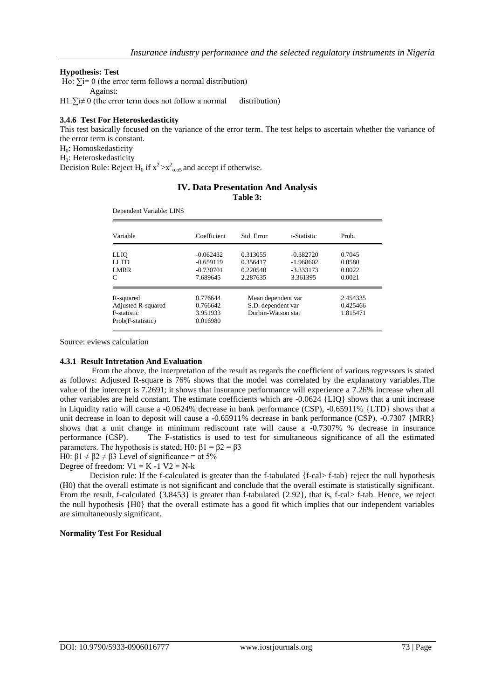#### **Hypothesis: Test**

Ho:  $\Sigma = 0$  (the error term follows a normal distribution)

Against:

H1: $\sum i \neq 0$  (the error term does not follow a normal distribution)

## **3.4.6 Test For Heteroskedasticity**

This test basically focused on the variance of the error term. The test helps to ascertain whether the variance of the error term is constant.

H0: Homoskedasticity

H<sub>1</sub>: Heteroskedasticity

Decision Rule: Reject  $H_0$  if  $x^2 > x^2$ <sub>0.05</sub> and accept if otherwise.

#### **IV. Data Presentation And Analysis Table 3:**

Dependent Variable: LINS

| Variable                                                            | Coefficient                                           | Std. Error                                                     | t-Statistic                                           | Prob.                                |
|---------------------------------------------------------------------|-------------------------------------------------------|----------------------------------------------------------------|-------------------------------------------------------|--------------------------------------|
| LLIQ<br>LLTD<br><b>LMRR</b><br>C                                    | $-0.062432$<br>$-0.659119$<br>$-0.730701$<br>7.689645 | 0.313055<br>0.356417<br>0.220540<br>2.287635                   | $-0.382720$<br>$-1.968602$<br>$-3.333173$<br>3.361395 | 0.7045<br>0.0580<br>0.0022<br>0.0021 |
| R-squared<br>Adjusted R-squared<br>F-statistic<br>Prob(F-statistic) | 0.776644<br>0.766642<br>3.951933<br>0.016980          | Mean dependent var<br>S.D. dependent var<br>Durbin-Watson stat |                                                       | 2.454335<br>0.425466<br>1.815471     |

Source: eviews calculation

#### **4.3.1 Result Intretation And Evaluation**

From the above, the interpretation of the result as regards the coefficient of various regressors is stated as follows: Adjusted R-square is 76% shows that the model was correlated by the explanatory variables.The value of the intercept is 7.2691; it shows that insurance performance will experience a 7.26% increase when all other variables are held constant. The estimate coefficients which are -0.0624 {LIQ} shows that a unit increase in Liquidity ratio will cause a -0.0624% decrease in bank performance (CSP), -0.65911% {LTD} shows that a unit decrease in loan to deposit will cause a -0.65911% decrease in bank performance (CSP), -0.7307 {MRR} shows that a unit change in minimum rediscount rate will cause a -0.7307% % decrease in insurance performance (CSP). The F-statistics is used to test for simultaneous significance of all the estimated parameters. The hypothesis is stated; H0:  $\beta$ 1 =  $\beta$ 2 =  $\beta$ 3

H0:  $β1 ≠ β2 ≠ β3$  Level of significance = at 5%

Degree of freedom:  $V1 = K -1 V2 = N-k$ 

Decision rule: If the f-calculated is greater than the f-tabulated {f-cal> f-tab} reject the null hypothesis (H0) that the overall estimate is not significant and conclude that the overall estimate is statistically significant. From the result, f-calculated  $\{3.8453\}$  is greater than f-tabulated  $\{2.92\}$ , that is, f-cal> f-tab. Hence, we reject the null hypothesis {H0} that the overall estimate has a good fit which implies that our independent variables are simultaneously significant.

#### **Normality Test For Residual**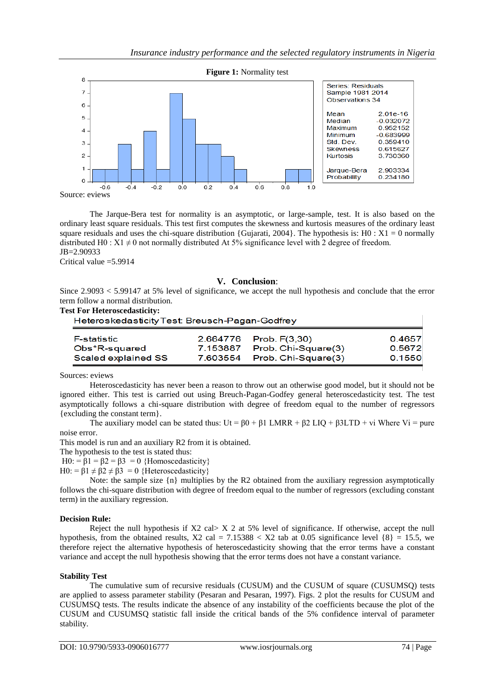

The Jarque-Bera test for normality is an asymptotic, or large-sample, test. It is also based on the ordinary least square residuals. This test first computes the skewness and kurtosis measures of the ordinary least square residuals and uses the chi-square distribution {Gujarati, 2004}. The hypothesis is:  $H0 : X1 = 0$  normally distributed H0 :  $X1 \neq 0$  not normally distributed At 5% significance level with 2 degree of freedom. JB=2.90933

Critical value  $=$  5.9914

#### **V. Conclusion**:

Since 2.9093 < 5.99147 at 5% level of significance, we accept the null hypothesis and conclude that the error term follow a normal distribution.

#### **Test For Heteroscedasticity:**

| Heteroskedasticity Test: Breusch-Pagan-Godfrey |            |                        |        |  |  |  |
|------------------------------------------------|------------|------------------------|--------|--|--|--|
| <b>F-statistic</b>                             |            | 2.664776 Prob. F(3,30) | 0.4657 |  |  |  |
| Obs*R-squared                                  | 7.153887   | Prob. Chi-Square(3)    | 0.5672 |  |  |  |
| Scaled explained SS                            | 7.603554 。 | Prob. Chi-Square(3)    | 0.1550 |  |  |  |

Sources: eviews

Heteroscedasticity has never been a reason to throw out an otherwise good model, but it should not be ignored either. This test is carried out using Breuch-Pagan-Godfey general heteroscedasticity test. The test asymptotically follows a chi-square distribution with degree of freedom equal to the number of regressors {excluding the constant term}.

The auxiliary model can be stated thus:  $Ut = \beta 0 + \beta 1$  LMRR +  $\beta 2$  LIO +  $\beta 3$ LTD + vi Where Vi = pure noise error.

This model is run and an auxiliary R2 from it is obtained.

The hypothesis to the test is stated thus:

H0: =  $\beta$ 1 =  $\beta$ 2 =  $\beta$ 3 = 0 {Homoscedasticity}

H0: =  $\beta$ 1  $\neq$   $\beta$ 2  $\neq$   $\beta$ 3 = 0 {Heteroscedasticity}

Note: the sample size  $\{n\}$  multiplies by the R2 obtained from the auxiliary regression asymptotically follows the chi-square distribution with degree of freedom equal to the number of regressors (excluding constant term) in the auxiliary regression.

#### **Decision Rule:**

Reject the null hypothesis if X2 cal> X 2 at 5% level of significance. If otherwise, accept the null hypothesis, from the obtained results,  $X2$  cal = 7.15388 < X2 tab at 0.05 significance level  $\{8\}$  = 15.5, we therefore reject the alternative hypothesis of heteroscedasticity showing that the error terms have a constant variance and accept the null hypothesis showing that the error terms does not have a constant variance.

#### **Stability Test**

The cumulative sum of recursive residuals (CUSUM) and the CUSUM of square (CUSUMSQ) tests are applied to assess parameter stability (Pesaran and Pesaran, 1997). Figs. 2 plot the results for CUSUM and CUSUMSQ tests. The results indicate the absence of any instability of the coefficients because the plot of the CUSUM and CUSUMSQ statistic fall inside the critical bands of the 5% confidence interval of parameter stability.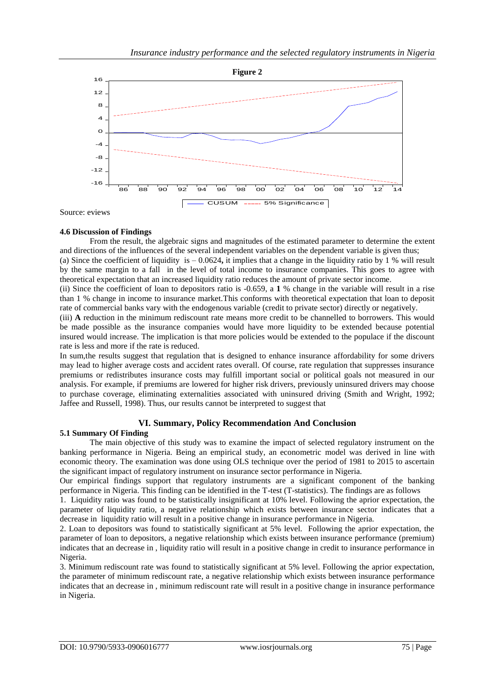

Source: eviews

#### **4.6 Discussion of Findings**

From the result, the algebraic signs and magnitudes of the estimated parameter to determine the extent and directions of the influences of the several independent variables on the dependent variable is given thus;

(a) Since the coefficient of liquidity is – 0.0624**,** it implies that a change in the liquidity ratio by 1 % will result by the same margin to a fall in the level of total income to insurance companies. This goes to agree with theoretical expectation that an increased liquidity ratio reduces the amount of private sector income.

(ii) Since the coefficient of loan to depositors ratio is -0.659, a **1** % change in the variable will result in a rise than 1 % change in income to insurance market.This conforms with theoretical expectation that loan to deposit rate of commercial banks vary with the endogenous variable (credit to private sector) directly or negatively.

(iii) **A** reduction in the minimum rediscount rate means more credit to be channelled to borrowers. This would be made possible as the insurance companies would have more liquidity to be extended because potential insured would increase. The implication is that more policies would be extended to the populace if the discount rate is less and more if the rate is reduced.

In sum,the results suggest that regulation that is designed to enhance insurance affordability for some drivers may lead to higher average costs and accident rates overall. Of course, rate regulation that suppresses insurance premiums or redistributes insurance costs may fulfill important social or political goals not measured in our analysis. For example, if premiums are lowered for higher risk drivers, previously uninsured drivers may choose to purchase coverage, eliminating externalities associated with uninsured driving (Smith and Wright, 1992; Jaffee and Russell, 1998). Thus, our results cannot be interpreted to suggest that

# **VI. Summary, Policy Recommendation And Conclusion**

#### **5.1 Summary Of Finding**

The main objective of this study was to examine the impact of selected regulatory instrument on the banking performance in Nigeria. Being an empirical study, an econometric model was derived in line with economic theory. The examination was done using OLS technique over the period of 1981 to 2015 to ascertain the significant impact of regulatory instrument on insurance sector performance in Nigeria.

Our empirical findings support that regulatory instruments are a significant component of the banking performance in Nigeria. This finding can be identified in the T-test (T-statistics). The findings are as follows

1. Liquidity ratio was found to be statistically insignificant at 10% level. Following the aprior expectation, the parameter of liquidity ratio, a negative relationship which exists between insurance sector indicates that a decrease in liquidity ratio will result in a positive change in insurance performance in Nigeria.

2. Loan to depositors was found to statistically significant at 5% level. Following the aprior expectation, the parameter of loan to depositors, a negative relationship which exists between insurance performance (premium) indicates that an decrease in , liquidity ratio will result in a positive change in credit to insurance performance in Nigeria.

3. Minimum rediscount rate was found to statistically significant at 5% level. Following the aprior expectation, the parameter of minimum rediscount rate, a negative relationship which exists between insurance performance indicates that an decrease in , minimum rediscount rate will result in a positive change in insurance performance in Nigeria.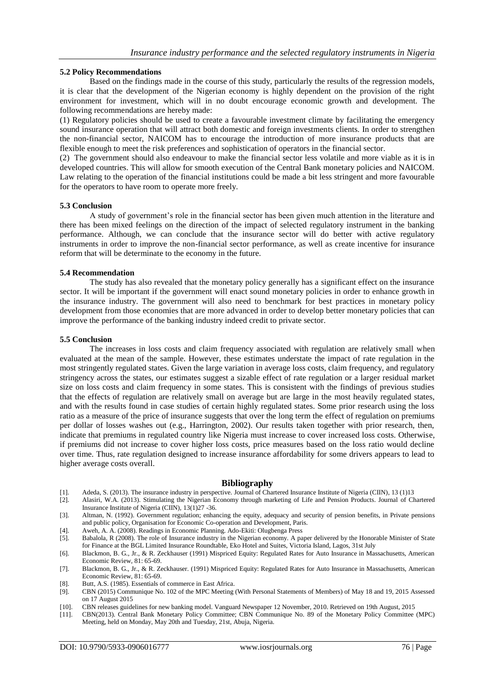#### **5.2 Policy Recommendations**

Based on the findings made in the course of this study, particularly the results of the regression models, it is clear that the development of the Nigerian economy is highly dependent on the provision of the right environment for investment, which will in no doubt encourage economic growth and development. The following recommendations are hereby made:

(1) Regulatory policies should be used to create a favourable investment climate by facilitating the emergency sound insurance operation that will attract both domestic and foreign investments clients. In order to strengthen the non-financial sector, NAICOM has to encourage the introduction of more insurance products that are flexible enough to meet the risk preferences and sophistication of operators in the financial sector.

(2) The government should also endeavour to make the financial sector less volatile and more viable as it is in developed countries. This will allow for smooth execution of the Central Bank monetary policies and NAICOM. Law relating to the operation of the financial institutions could be made a bit less stringent and more favourable for the operators to have room to operate more freely.

#### **5.3 Conclusion**

A study of government's role in the financial sector has been given much attention in the literature and there has been mixed feelings on the direction of the impact of selected regulatory instrument in the banking performance. Although, we can conclude that the insurance sector will do better with active regulatory instruments in order to improve the non-financial sector performance, as well as create incentive for insurance reform that will be determinate to the economy in the future.

#### **5.4 Recommendation**

The study has also revealed that the monetary policy generally has a significant effect on the insurance sector. It will be important if the government will enact sound monetary policies in order to enhance growth in the insurance industry. The government will also need to benchmark for best practices in monetary policy development from those economies that are more advanced in order to develop better monetary policies that can improve the performance of the banking industry indeed credit to private sector.

#### **5.5 Conclusion**

The increases in loss costs and claim frequency associated with regulation are relatively small when evaluated at the mean of the sample. However, these estimates understate the impact of rate regulation in the most stringently regulated states. Given the large variation in average loss costs, claim frequency, and regulatory stringency across the states, our estimates suggest a sizable effect of rate regulation or a larger residual market size on loss costs and claim frequency in some states. This is consistent with the findings of previous studies that the effects of regulation are relatively small on average but are large in the most heavily regulated states, and with the results found in case studies of certain highly regulated states. Some prior research using the loss ratio as a measure of the price of insurance suggests that over the long term the effect of regulation on premiums per dollar of losses washes out (e.g., Harrington, 2002). Our results taken together with prior research, then, indicate that premiums in regulated country like Nigeria must increase to cover increased loss costs. Otherwise, if premiums did not increase to cover higher loss costs, price measures based on the loss ratio would decline over time. Thus, rate regulation designed to increase insurance affordability for some drivers appears to lead to higher average costs overall.

#### **Bibliography**

- [1]. Adeda, S. (2013). The insurance industry in perspective. Journal of Chartered Insurance Institute of Nigeria (CIIN), 13 (1)13
- [2]. Alasiri, W.A. (2013). Stimulating the Nigerian Economy through marketing of Life and Pension Products. Journal of Chartered Insurance Institute of Nigeria (CIIN), 13(1)27 -36.
- [3]. Altman, N. (1992). Government regulation; enhancing the equity, adequacy and security of pension benefits, in Private pensions and public policy, Organisation for Economic Co-operation and Development, Paris.
- [4]. Aweh, A. A. (2008). Readings in Economic Planning. Ado-Ekiti: Olugbenga Press
- [5]. Babalola, R (2008). The role of Insurance industry in the Nigerian economy. A paper delivered by the Honorable Minister of State for Finance at the BGL Limited Insurance Roundtable, Eko Hotel and Suites, Victoria Island, Lagos, 31st July
- [6]. Blackmon, B. G., Jr., & R. Zeckhauser (1991) Mispriced Equity: Regulated Rates for Auto Insurance in Massachusetts, American Economic Review, 81: 65-69.
- [7]. Blackmon, B. G., Jr., & R. Zeckhauser. (1991) Mispriced Equity: Regulated Rates for Auto Insurance in Massachusetts, American Economic Review, 81: 65-69.
- [8]. Butt, A.S. (1985). Essentials of commerce in East Africa.
- [9]. CBN (2015) Communique No. 102 of the MPC Meeting (With Personal Statements of Members) of May 18 and 19, 2015 Assessed on 17 August 2015
- [10]. CBN releases guidelines for new banking model. Vanguard Newspaper 12 November, 2010. Retrieved on 19th August, 2015
- [11]. CBN(2013). Central Bank Monetary Policy Committee; CBN Communique No. 89 of the Monetary Policy Committee (MPC) Meeting, held on Monday, May 20th and Tuesday, 21st, Abuja, Nigeria.